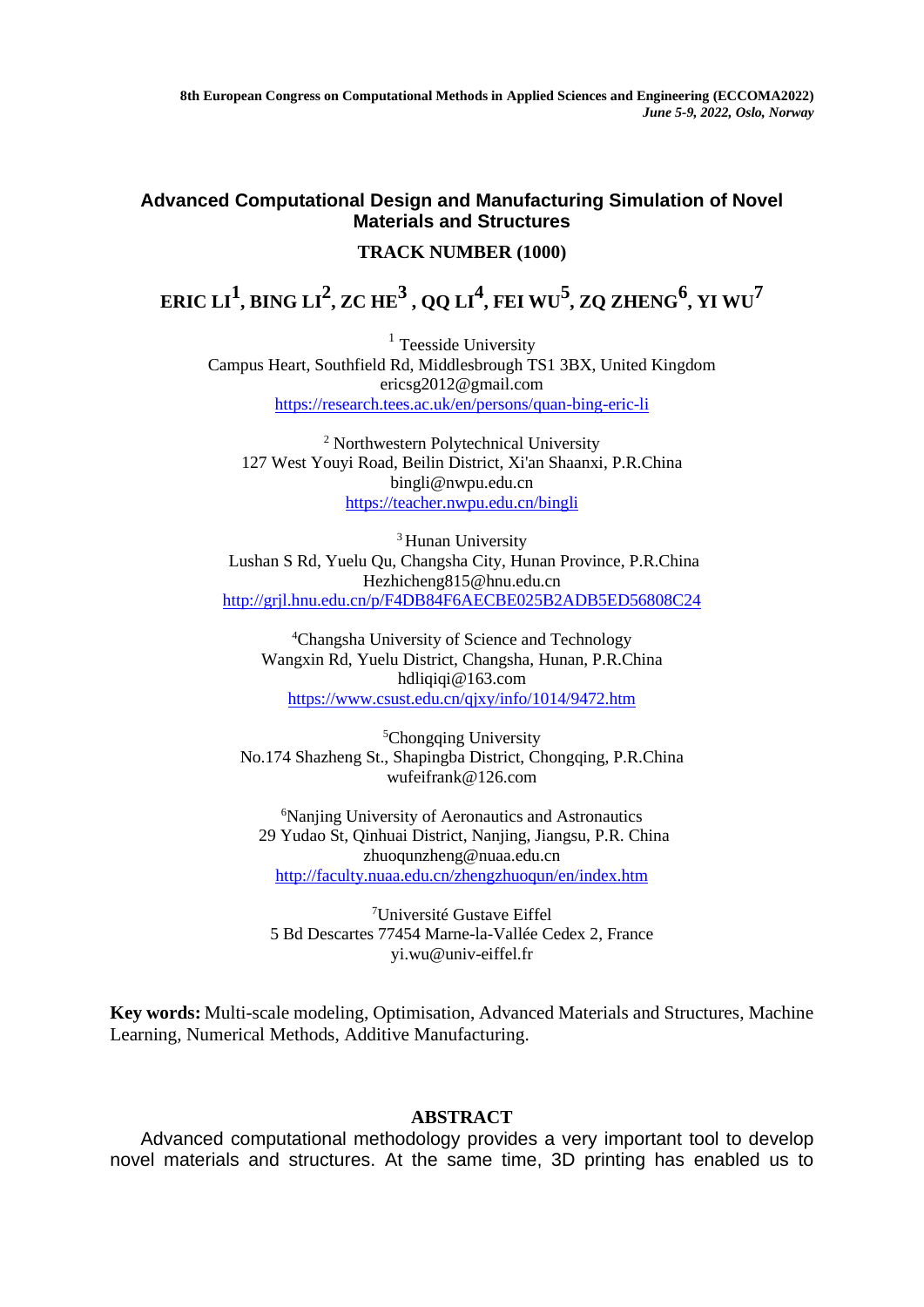**8th European Congress on Computational Methods in Applied Sciences and Engineering (ECCOMA2022)** *June 5-9, 2022, Oslo, Norway*

## **Advanced Computational Design and Manufacturing Simulation of Novel Materials and Structures**

## **TRACK NUMBER (1000)**

## ${\bf E}{\bf R}{\bf I}{\bf C}$   ${\bf L}{\bf I}^1$ ,  ${\bf B}{\bf I}{\bf N}{\bf G}$   ${\bf L}{\bf I}^2$ ,  ${\bf Z}{\bf C}$   ${\bf H}{\bf E}^3$  ,  ${\bf Q}{\bf Q}$   ${\bf L}{\bf I}^4$ ,  ${\bf F}{\bf E}{\bf I}$   ${\bf W}{\bf U}^5$ ,  ${\bf Z}{\bf Q}$   ${\bf Z}{\bf H}{\bf E}{\bf N}{\bf G}^6$ ,  ${\bf Y}{\bf I}$   ${\bf W}{\bf U}^7$

<sup>1</sup> Teesside University Campus Heart, Southfield Rd, Middlesbrough TS1 3BX, United Kingdom ericsg2012@gmail.com <https://research.tees.ac.uk/en/persons/quan-bing-eric-li>

<sup>2</sup> Northwestern Polytechnical University 127 West Youyi Road, Beilin District, Xi'an Shaanxi, P.R.China bingli@nwpu.edu.cn <https://teacher.nwpu.edu.cn/bingli>

<sup>3</sup> Hunan University Lushan S Rd, Yuelu Qu, Changsha City, Hunan Province, P.R.China Hezhicheng815@hnu.edu.cn <http://grjl.hnu.edu.cn/p/F4DB84F6AECBE025B2ADB5ED56808C24>

<sup>4</sup>Changsha University of Science and Technology Wangxin Rd, Yuelu District, Changsha, Hunan, P.R.China [hdliqiqi@163.com](mailto:hdliqiqi@163.com) <https://www.csust.edu.cn/qjxy/info/1014/9472.htm>

<sup>5</sup>Chongqing University No.174 Shazheng St., Shapingba District, Chongqing, P.R.China [wufeifrank@126.com](https://web.wechat.com/cgi-bin/mmwebwx-bin/webwxcheckurl?requrl=http%3A%2F%2Fwufeifrank%40126.com&skey=%40crypt_8da847b1_e350b82dc391f869c63aa60c3be43e07&deviceid=e317143386512339&pass_ticket=goUGxDgUw4663w4u%252BQqROk3Xr3QJCKfb4LlDjluArDhIxxHxH51q1Q%252Fyn9YDArRD&opcode=2&scene=1&username=@2c9d575f000e0b3d36da70bbf45290f1700a2a4e50be15f77271702790f3ffe6)

<sup>6</sup>[Nanjing University of Aeronautics and Astronautics](https://scholar.google.com/citations?view_op=view_org&hl=zh-CN&org=8432782691408189622) 29 Yudao St, Qinhuai District, Nanjing, Jiangsu, P.R. China zhuoqunzheng@nuaa.edu.cn <http://faculty.nuaa.edu.cn/zhengzhuoqun/en/index.htm>

<sup>7</sup>Université Gustave Eiffel 5 Bd Descartes 77454 Marne-la-Vallée Cedex 2, France yi.wu@univ-eiffel.fr

**Key words:** Multi-scale modeling, Optimisation, Advanced Materials and Structures, Machine Learning, Numerical Methods, Additive Manufacturing.

## **ABSTRACT**

Advanced computational methodology provides a very important tool to develop novel materials and structures. At the same time, 3D printing has enabled us to